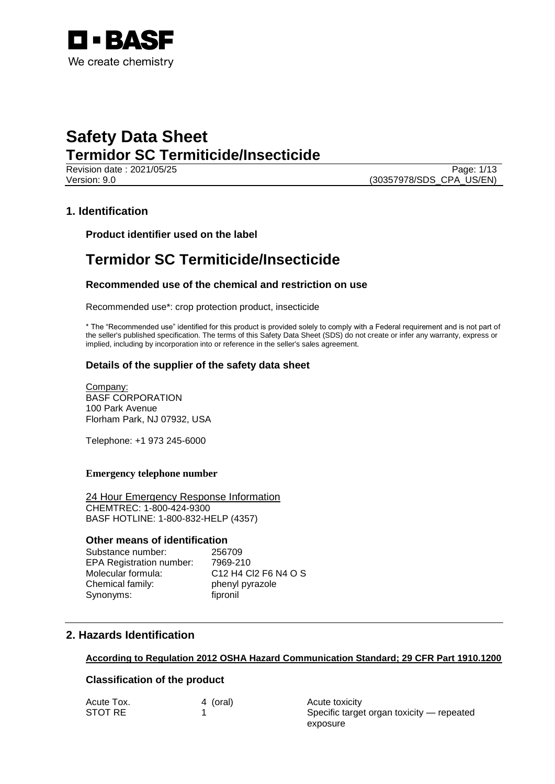

Revision date : 2021/05/25 Page: 1/13 Version: 9.0 (30357978/SDS\_CPA\_US/EN)

## **1. Identification**

**Product identifier used on the label**

# **Termidor SC Termiticide/Insecticide**

## **Recommended use of the chemical and restriction on use**

Recommended use\*: crop protection product, insecticide

\* The "Recommended use" identified for this product is provided solely to comply with a Federal requirement and is not part of the seller's published specification. The terms of this Safety Data Sheet (SDS) do not create or infer any warranty, express or implied, including by incorporation into or reference in the seller's sales agreement.

## **Details of the supplier of the safety data sheet**

Company: BASF CORPORATION 100 Park Avenue Florham Park, NJ 07932, USA

Telephone: +1 973 245-6000

### **Emergency telephone number**

24 Hour Emergency Response Information CHEMTREC: 1-800-424-9300 BASF HOTLINE: 1-800-832-HELP (4357)

## **Other means of identification**

Substance number: 256709 EPA Registration number: 7969-210 Molecular formula: C12 H4 Cl2 F6 N4 O S Chemical family: phenyl pyrazole Synonyms: fipronil

# **2. Hazards Identification**

## **According to Regulation 2012 OSHA Hazard Communication Standard; 29 CFR Part 1910.1200**

## **Classification of the product**

| Acute Tox. | 4 (oral) |
|------------|----------|
| STOT RE    |          |

Acute toxicity Specific target organ toxicity - repeated exposure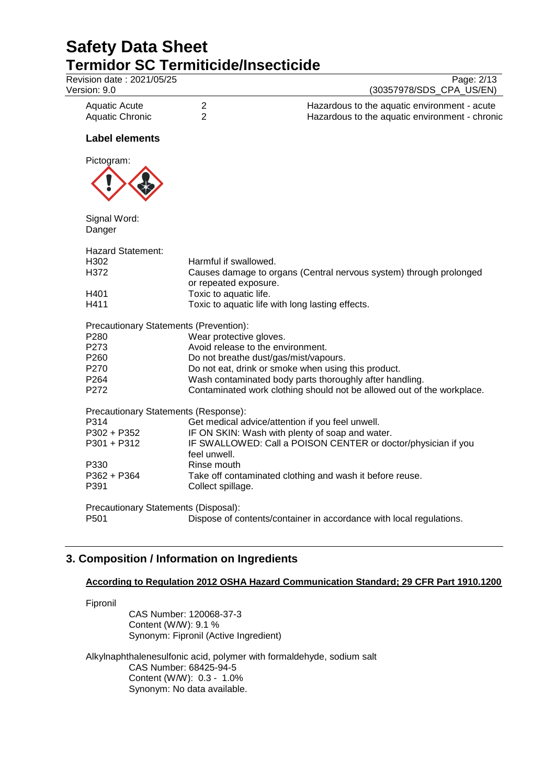| Revision date: 2021/05/25              | Page: 2/13                                                                                  |
|----------------------------------------|---------------------------------------------------------------------------------------------|
| Version: 9.0                           | (30357978/SDS_CPA_US/EN)                                                                    |
| <b>Aquatic Acute</b>                   | $\overline{2}$<br>Hazardous to the aquatic environment - acute                              |
| <b>Aquatic Chronic</b>                 | $\overline{2}$<br>Hazardous to the aquatic environment - chronic                            |
| <b>Label elements</b>                  |                                                                                             |
| Pictogram:                             |                                                                                             |
|                                        |                                                                                             |
| Signal Word:<br>Danger                 |                                                                                             |
| <b>Hazard Statement:</b>               |                                                                                             |
| H302                                   | Harmful if swallowed.                                                                       |
| H372                                   | Causes damage to organs (Central nervous system) through prolonged<br>or repeated exposure. |
| H401                                   | Toxic to aquatic life.                                                                      |
| H411                                   | Toxic to aquatic life with long lasting effects.                                            |
| Precautionary Statements (Prevention): |                                                                                             |
| P280                                   | Wear protective gloves.                                                                     |
| P273                                   | Avoid release to the environment.                                                           |
| P260                                   | Do not breathe dust/gas/mist/vapours.                                                       |
| P270                                   | Do not eat, drink or smoke when using this product.                                         |
| P264                                   | Wash contaminated body parts thoroughly after handling.                                     |
| P272                                   | Contaminated work clothing should not be allowed out of the workplace.                      |
| Precautionary Statements (Response):   |                                                                                             |
| P314                                   | Get medical advice/attention if you feel unwell.                                            |
| P302 + P352                            | IF ON SKIN: Wash with plenty of soap and water.                                             |
| P301 + P312                            | IF SWALLOWED: Call a POISON CENTER or doctor/physician if you<br>feel unwell.               |
| P330                                   | Rinse mouth                                                                                 |
| P362 + P364                            | Take off contaminated clothing and wash it before reuse.                                    |
| P391                                   | Collect spillage.                                                                           |
| Precautionary Statements (Disposal):   |                                                                                             |
| P501                                   | Dispose of contents/container in accordance with local regulations.                         |

# **3. Composition / Information on Ingredients**

## **According to Regulation 2012 OSHA Hazard Communication Standard; 29 CFR Part 1910.1200**

Fipronil

CAS Number: 120068-37-3 Content (W/W): 9.1 % Synonym: Fipronil (Active Ingredient)

Alkylnaphthalenesulfonic acid, polymer with formaldehyde, sodium salt CAS Number: 68425-94-5 Content (W/W): 0.3 - 1.0% Synonym: No data available.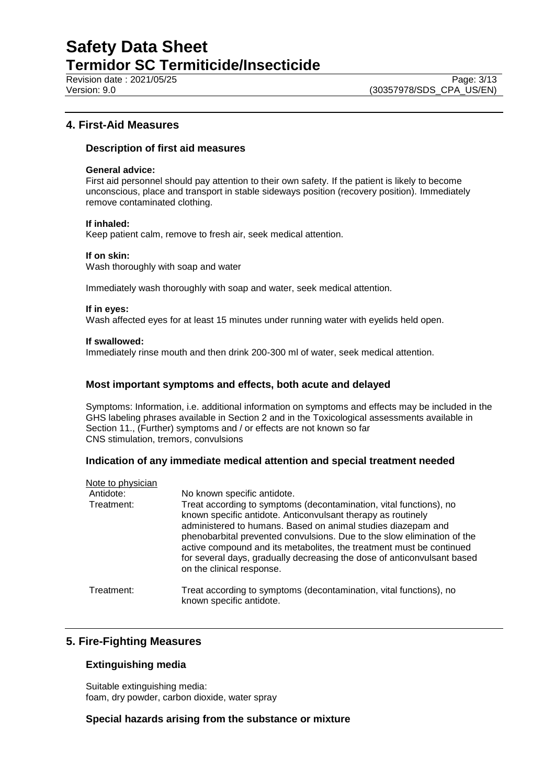Revision date : 2021/05/25 Page: 3/13<br>
Version: 9.0 Page: 3/13<br>
Version: 9.0 (30357978/SDS CPA US/EN)

## **4. First-Aid Measures**

### **Description of first aid measures**

#### **General advice:**

First aid personnel should pay attention to their own safety. If the patient is likely to become unconscious, place and transport in stable sideways position (recovery position). Immediately remove contaminated clothing.

#### **If inhaled:**

Keep patient calm, remove to fresh air, seek medical attention.

#### **If on skin:**

Wash thoroughly with soap and water

Immediately wash thoroughly with soap and water, seek medical attention.

#### **If in eyes:**

Wash affected eyes for at least 15 minutes under running water with eyelids held open.

#### **If swallowed:**

Immediately rinse mouth and then drink 200-300 ml of water, seek medical attention.

### **Most important symptoms and effects, both acute and delayed**

Symptoms: Information, i.e. additional information on symptoms and effects may be included in the GHS labeling phrases available in Section 2 and in the Toxicological assessments available in Section 11., (Further) symptoms and / or effects are not known so far CNS stimulation, tremors, convulsions

#### **Indication of any immediate medical attention and special treatment needed**

| Note to physician |                                                                                                                                                                                                                                                                                                                                                                                                                                                               |
|-------------------|---------------------------------------------------------------------------------------------------------------------------------------------------------------------------------------------------------------------------------------------------------------------------------------------------------------------------------------------------------------------------------------------------------------------------------------------------------------|
| Antidote:         | No known specific antidote.                                                                                                                                                                                                                                                                                                                                                                                                                                   |
| Treatment:        | Treat according to symptoms (decontamination, vital functions), no<br>known specific antidote. Anticonvulsant therapy as routinely<br>administered to humans. Based on animal studies diazepam and<br>phenobarbital prevented convulsions. Due to the slow elimination of the<br>active compound and its metabolites, the treatment must be continued<br>for several days, gradually decreasing the dose of anticonvulsant based<br>on the clinical response. |
| Treatment:        | Treat according to symptoms (decontamination, vital functions), no<br>known specific antidote.                                                                                                                                                                                                                                                                                                                                                                |

# **5. Fire-Fighting Measures**

## **Extinguishing media**

Suitable extinguishing media: foam, dry powder, carbon dioxide, water spray

### **Special hazards arising from the substance or mixture**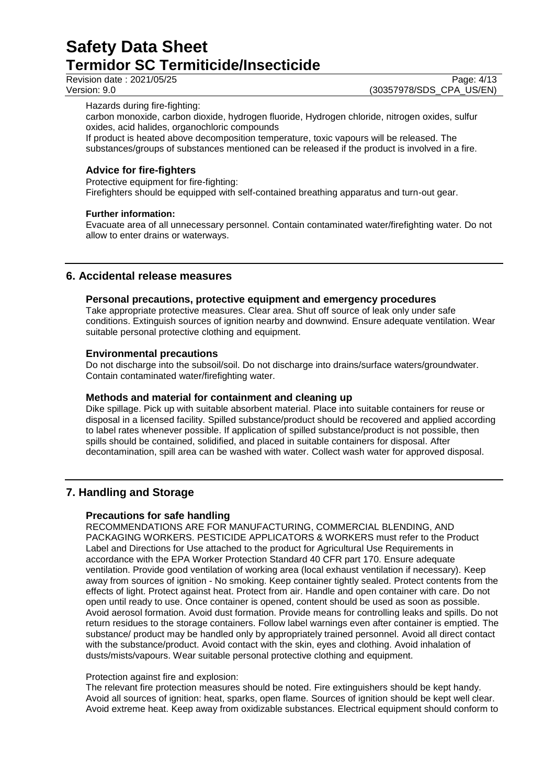Revision date : 2021/05/25 Page: 4/13<br>
Version: 9.0 Page: 4/13<br>
Version: 9.0 (30357978/SDS CPA US/EN) (30357978/SDS\_CPA\_US/EN)

Hazards during fire-fighting:

carbon monoxide, carbon dioxide, hydrogen fluoride, Hydrogen chloride, nitrogen oxides, sulfur oxides, acid halides, organochloric compounds

If product is heated above decomposition temperature, toxic vapours will be released. The substances/groups of substances mentioned can be released if the product is involved in a fire.

## **Advice for fire-fighters**

Protective equipment for fire-fighting:

Firefighters should be equipped with self-contained breathing apparatus and turn-out gear.

### **Further information:**

Evacuate area of all unnecessary personnel. Contain contaminated water/firefighting water. Do not allow to enter drains or waterways.

## **6. Accidental release measures**

### **Personal precautions, protective equipment and emergency procedures**

Take appropriate protective measures. Clear area. Shut off source of leak only under safe conditions. Extinguish sources of ignition nearby and downwind. Ensure adequate ventilation. Wear suitable personal protective clothing and equipment.

### **Environmental precautions**

Do not discharge into the subsoil/soil. Do not discharge into drains/surface waters/groundwater. Contain contaminated water/firefighting water.

## **Methods and material for containment and cleaning up**

Dike spillage. Pick up with suitable absorbent material. Place into suitable containers for reuse or disposal in a licensed facility. Spilled substance/product should be recovered and applied according to label rates whenever possible. If application of spilled substance/product is not possible, then spills should be contained, solidified, and placed in suitable containers for disposal. After decontamination, spill area can be washed with water. Collect wash water for approved disposal.

# **7. Handling and Storage**

## **Precautions for safe handling**

RECOMMENDATIONS ARE FOR MANUFACTURING, COMMERCIAL BLENDING, AND PACKAGING WORKERS. PESTICIDE APPLICATORS & WORKERS must refer to the Product Label and Directions for Use attached to the product for Agricultural Use Requirements in accordance with the EPA Worker Protection Standard 40 CFR part 170. Ensure adequate ventilation. Provide good ventilation of working area (local exhaust ventilation if necessary). Keep away from sources of ignition - No smoking. Keep container tightly sealed. Protect contents from the effects of light. Protect against heat. Protect from air. Handle and open container with care. Do not open until ready to use. Once container is opened, content should be used as soon as possible. Avoid aerosol formation. Avoid dust formation. Provide means for controlling leaks and spills. Do not return residues to the storage containers. Follow label warnings even after container is emptied. The substance/ product may be handled only by appropriately trained personnel. Avoid all direct contact with the substance/product. Avoid contact with the skin, eyes and clothing. Avoid inhalation of dusts/mists/vapours. Wear suitable personal protective clothing and equipment.

#### Protection against fire and explosion:

The relevant fire protection measures should be noted. Fire extinguishers should be kept handy. Avoid all sources of ignition: heat, sparks, open flame. Sources of ignition should be kept well clear. Avoid extreme heat. Keep away from oxidizable substances. Electrical equipment should conform to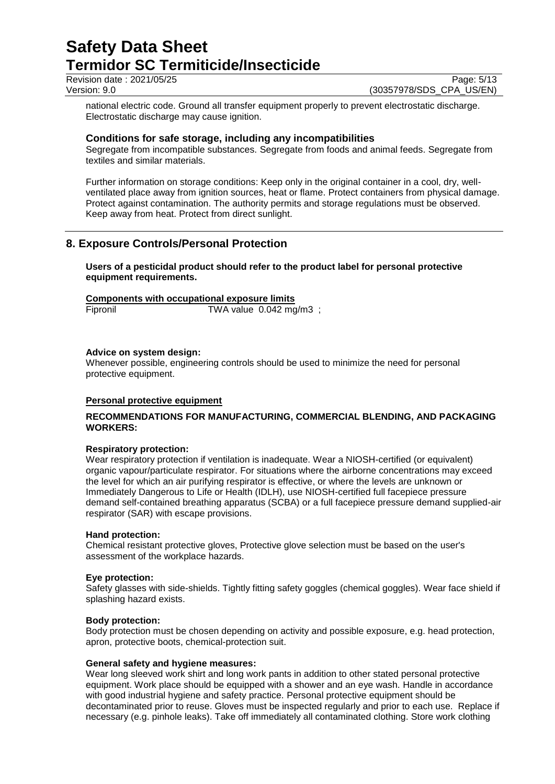Revision date : 2021/05/25 Page: 5/13<br>Version: 9.0 Page: 5/13<br>(30357978/SDS\_CPA\_US/EN)

(30357978/SDS\_CPA\_US/EN)

national electric code. Ground all transfer equipment properly to prevent electrostatic discharge. Electrostatic discharge may cause ignition.

### **Conditions for safe storage, including any incompatibilities**

Segregate from incompatible substances. Segregate from foods and animal feeds. Segregate from textiles and similar materials.

Further information on storage conditions: Keep only in the original container in a cool, dry, wellventilated place away from ignition sources, heat or flame. Protect containers from physical damage. Protect against contamination. The authority permits and storage regulations must be observed. Keep away from heat. Protect from direct sunlight.

## **8. Exposure Controls/Personal Protection**

**Users of a pesticidal product should refer to the product label for personal protective equipment requirements.**

#### **Components with occupational exposure limits**

Fipronil TWA value 0.042 mg/m3 ;

#### **Advice on system design:**

Whenever possible, engineering controls should be used to minimize the need for personal protective equipment.

#### **Personal protective equipment**

### **RECOMMENDATIONS FOR MANUFACTURING, COMMERCIAL BLENDING, AND PACKAGING WORKERS:**

#### **Respiratory protection:**

Wear respiratory protection if ventilation is inadequate. Wear a NIOSH-certified (or equivalent) organic vapour/particulate respirator. For situations where the airborne concentrations may exceed the level for which an air purifying respirator is effective, or where the levels are unknown or Immediately Dangerous to Life or Health (IDLH), use NIOSH-certified full facepiece pressure demand self-contained breathing apparatus (SCBA) or a full facepiece pressure demand supplied-air respirator (SAR) with escape provisions.

#### **Hand protection:**

Chemical resistant protective gloves, Protective glove selection must be based on the user's assessment of the workplace hazards.

#### **Eye protection:**

Safety glasses with side-shields. Tightly fitting safety goggles (chemical goggles). Wear face shield if splashing hazard exists.

#### **Body protection:**

Body protection must be chosen depending on activity and possible exposure, e.g. head protection, apron, protective boots, chemical-protection suit.

#### **General safety and hygiene measures:**

Wear long sleeved work shirt and long work pants in addition to other stated personal protective equipment. Work place should be equipped with a shower and an eye wash. Handle in accordance with good industrial hygiene and safety practice. Personal protective equipment should be decontaminated prior to reuse. Gloves must be inspected regularly and prior to each use. Replace if necessary (e.g. pinhole leaks). Take off immediately all contaminated clothing. Store work clothing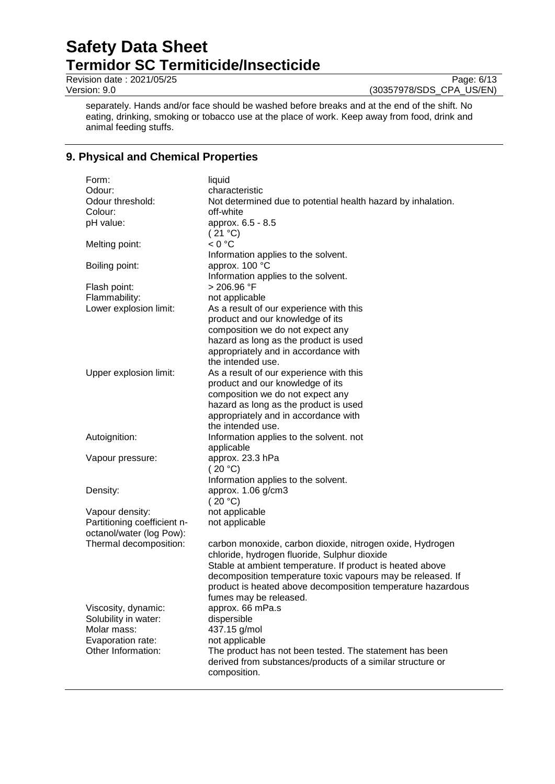Revision date : 2021/05/25 Page: 6/13<br>
Version: 9.0 Page: 6/13<br>
Version: 9.0 (30357978/SDS\_CPA\_US/EN)

(30357978/SDS\_CPA\_US/EN)

separately. Hands and/or face should be washed before breaks and at the end of the shift. No eating, drinking, smoking or tobacco use at the place of work. Keep away from food, drink and animal feeding stuffs.

# **9. Physical and Chemical Properties**

| Form:                       | liquid                                                       |
|-----------------------------|--------------------------------------------------------------|
| Odour:                      | characteristic                                               |
| Odour threshold:            | Not determined due to potential health hazard by inhalation. |
| Colour:                     | off-white                                                    |
| pH value:                   | approx. 6.5 - 8.5                                            |
|                             | (21 °C)                                                      |
| Melting point:              | < 0 °C                                                       |
|                             | Information applies to the solvent.                          |
| Boiling point:              | approx. 100 °C                                               |
|                             | Information applies to the solvent.                          |
| Flash point:                | > 206.96 °F                                                  |
| Flammability:               | not applicable                                               |
| Lower explosion limit:      | As a result of our experience with this                      |
|                             | product and our knowledge of its                             |
|                             | composition we do not expect any                             |
|                             | hazard as long as the product is used                        |
|                             | appropriately and in accordance with                         |
|                             | the intended use.                                            |
| Upper explosion limit:      | As a result of our experience with this                      |
|                             | product and our knowledge of its                             |
|                             | composition we do not expect any                             |
|                             | hazard as long as the product is used                        |
|                             | appropriately and in accordance with                         |
|                             | the intended use.                                            |
| Autoignition:               | Information applies to the solvent. not                      |
|                             | applicable                                                   |
| Vapour pressure:            | approx. 23.3 hPa                                             |
|                             | (20 °C)                                                      |
|                             | Information applies to the solvent.                          |
| Density:                    | approx. 1.06 g/cm3                                           |
|                             | (20 °C)                                                      |
| Vapour density:             | not applicable                                               |
| Partitioning coefficient n- | not applicable                                               |
| octanol/water (log Pow):    |                                                              |
| Thermal decomposition:      | carbon monoxide, carbon dioxide, nitrogen oxide, Hydrogen    |
|                             | chloride, hydrogen fluoride, Sulphur dioxide                 |
|                             | Stable at ambient temperature. If product is heated above    |
|                             | decomposition temperature toxic vapours may be released. If  |
|                             | product is heated above decomposition temperature hazardous  |
|                             | fumes may be released.                                       |
| Viscosity, dynamic:         | approx. 66 mPa.s                                             |
| Solubility in water:        | dispersible                                                  |
| Molar mass:                 | 437.15 g/mol                                                 |
| Evaporation rate:           | not applicable                                               |
| Other Information:          | The product has not been tested. The statement has been      |
|                             | derived from substances/products of a similar structure or   |
|                             | composition.                                                 |
|                             |                                                              |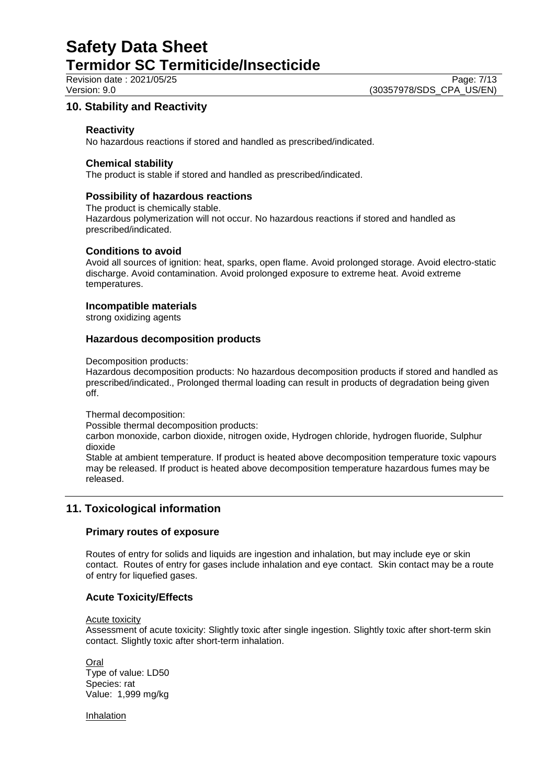Revision date : 2021/05/25 Page: 7/13<br>Version: 9.0 (30357978/SDS\_CPA\_US/EN) (30357978/SDS\_CPA\_US/EN)

# **10. Stability and Reactivity**

### **Reactivity**

No hazardous reactions if stored and handled as prescribed/indicated.

#### **Chemical stability**

The product is stable if stored and handled as prescribed/indicated.

### **Possibility of hazardous reactions**

The product is chemically stable. Hazardous polymerization will not occur. No hazardous reactions if stored and handled as prescribed/indicated.

### **Conditions to avoid**

Avoid all sources of ignition: heat, sparks, open flame. Avoid prolonged storage. Avoid electro-static discharge. Avoid contamination. Avoid prolonged exposure to extreme heat. Avoid extreme temperatures.

### **Incompatible materials**

strong oxidizing agents

### **Hazardous decomposition products**

Decomposition products:

Hazardous decomposition products: No hazardous decomposition products if stored and handled as prescribed/indicated., Prolonged thermal loading can result in products of degradation being given off.

Thermal decomposition:

Possible thermal decomposition products:

carbon monoxide, carbon dioxide, nitrogen oxide, Hydrogen chloride, hydrogen fluoride, Sulphur dioxide

Stable at ambient temperature. If product is heated above decomposition temperature toxic vapours may be released. If product is heated above decomposition temperature hazardous fumes may be released.

# **11. Toxicological information**

#### **Primary routes of exposure**

Routes of entry for solids and liquids are ingestion and inhalation, but may include eye or skin contact. Routes of entry for gases include inhalation and eye contact. Skin contact may be a route of entry for liquefied gases.

## **Acute Toxicity/Effects**

Acute toxicity

Assessment of acute toxicity: Slightly toxic after single ingestion. Slightly toxic after short-term skin contact. Slightly toxic after short-term inhalation.

**Oral** Type of value: LD50 Species: rat Value: 1,999 mg/kg

Inhalation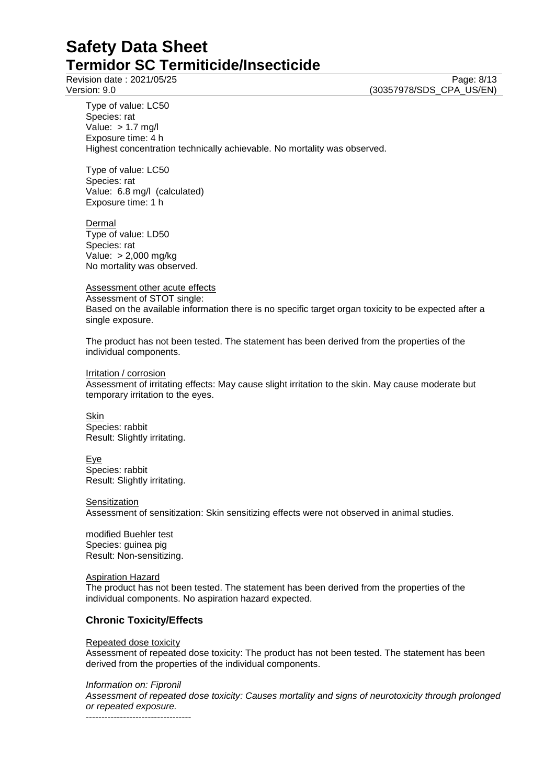Revision date : 2021/05/25 Page: 8/13<br>
Version: 9.0 Page: 8/13<br>
Version: 9.0 (30357978/SDS CPA US/EN) (30357978/SDS\_CPA\_US/EN)

Type of value: LC50 Species: rat Value:  $> 1.7$  mg/l Exposure time: 4 h Highest concentration technically achievable. No mortality was observed.

Type of value: LC50 Species: rat Value: 6.8 mg/l (calculated) Exposure time: 1 h

Dermal Type of value: LD50 Species: rat Value: > 2,000 mg/kg No mortality was observed.

Assessment other acute effects Assessment of STOT single: Based on the available information there is no specific target organ toxicity to be expected after a single exposure.

The product has not been tested. The statement has been derived from the properties of the individual components.

Irritation / corrosion

Assessment of irritating effects: May cause slight irritation to the skin. May cause moderate but temporary irritation to the eyes.

**Skin** Species: rabbit Result: Slightly irritating.

Eye Species: rabbit

Result: Slightly irritating.

**Sensitization** 

Assessment of sensitization: Skin sensitizing effects were not observed in animal studies.

modified Buehler test Species: guinea pig Result: Non-sensitizing.

Aspiration Hazard

The product has not been tested. The statement has been derived from the properties of the individual components. No aspiration hazard expected.

# **Chronic Toxicity/Effects**

#### Repeated dose toxicity

Assessment of repeated dose toxicity: The product has not been tested. The statement has been derived from the properties of the individual components.

*Information on: Fipronil*

*Assessment of repeated dose toxicity: Causes mortality and signs of neurotoxicity through prolonged or repeated exposure.* ----------------------------------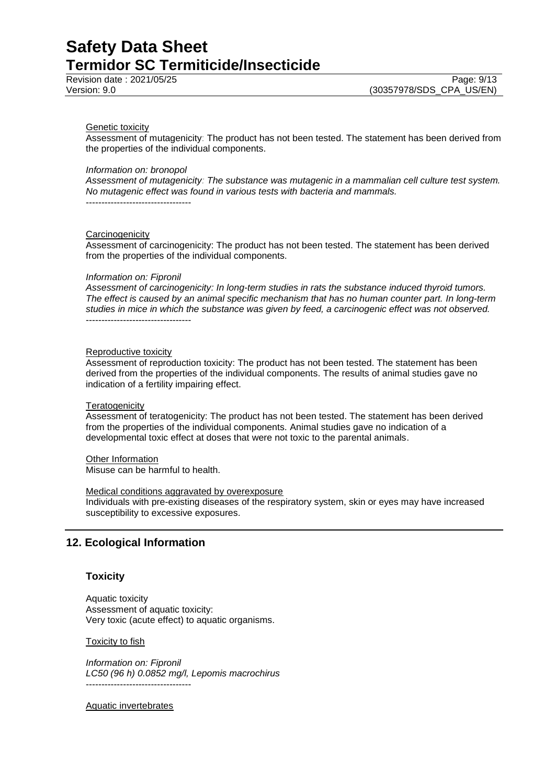#### Genetic toxicity

Assessment of mutagenicity: The product has not been tested. The statement has been derived from the properties of the individual components.

#### *Information on: bronopol*

*Assessment of mutagenicity: The substance was mutagenic in a mammalian cell culture test system. No mutagenic effect was found in various tests with bacteria and mammals.* ----------------------------------

#### **Carcinogenicity**

Assessment of carcinogenicity: The product has not been tested. The statement has been derived from the properties of the individual components.

#### *Information on: Fipronil*

*Assessment of carcinogenicity: In long-term studies in rats the substance induced thyroid tumors. The effect is caused by an animal specific mechanism that has no human counter part. In long-term studies in mice in which the substance was given by feed, a carcinogenic effect was not observed.* ----------------------------------

# Reproductive toxicity

Assessment of reproduction toxicity: The product has not been tested. The statement has been derived from the properties of the individual components. The results of animal studies gave no indication of a fertility impairing effect.

#### **Teratogenicity**

Assessment of teratogenicity: The product has not been tested. The statement has been derived from the properties of the individual components. Animal studies gave no indication of a developmental toxic effect at doses that were not toxic to the parental animals.

#### Other Information

Misuse can be harmful to health.

#### Medical conditions aggravated by overexposure

Individuals with pre-existing diseases of the respiratory system, skin or eyes may have increased susceptibility to excessive exposures.

# **12. Ecological Information**

#### **Toxicity**

Aquatic toxicity Assessment of aquatic toxicity: Very toxic (acute effect) to aquatic organisms.

#### Toxicity to fish

*Information on: Fipronil LC50 (96 h) 0.0852 mg/l, Lepomis macrochirus* ----------------------------------

#### Aquatic invertebrates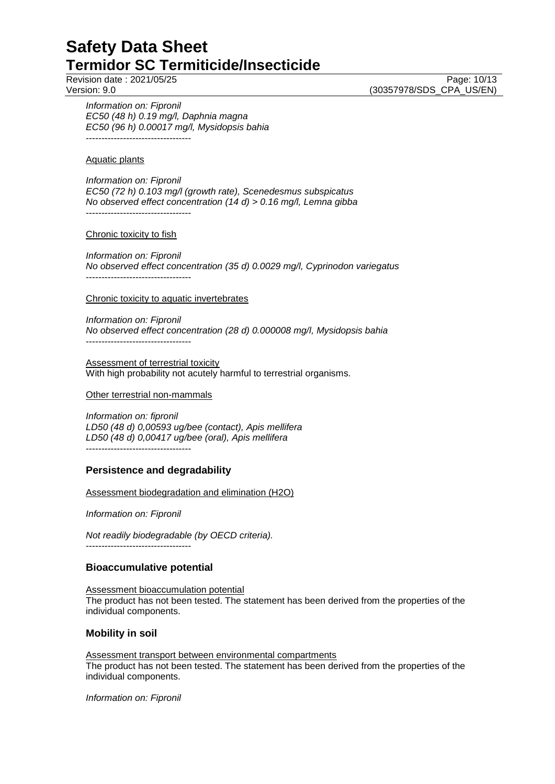*Information on: Fipronil EC50 (48 h) 0.19 mg/l, Daphnia magna EC50 (96 h) 0.00017 mg/l, Mysidopsis bahia*  $-$ 

Aquatic plants

*Information on: Fipronil EC50 (72 h) 0.103 mg/l (growth rate), Scenedesmus subspicatus No observed effect concentration (14 d) > 0.16 mg/l, Lemna gibba* ----------------------------------

#### Chronic toxicity to fish

*Information on: Fipronil No observed effect concentration (35 d) 0.0029 mg/l, Cyprinodon variegatus* ----------------------------------

Chronic toxicity to aquatic invertebrates

*Information on: Fipronil No observed effect concentration (28 d) 0.000008 mg/l, Mysidopsis bahia* ----------------------------------

Assessment of terrestrial toxicity With high probability not acutely harmful to terrestrial organisms.

Other terrestrial non-mammals

*Information on: fipronil LD50 (48 d) 0,00593 ug/bee (contact), Apis mellifera LD50 (48 d) 0,00417 ug/bee (oral), Apis mellifera* ----------------------------------

#### **Persistence and degradability**

Assessment biodegradation and elimination (H2O)

*Information on: Fipronil*

----------------------------------

*Not readily biodegradable (by OECD criteria).*

#### **Bioaccumulative potential**

Assessment bioaccumulation potential The product has not been tested. The statement has been derived from the properties of the individual components.

#### **Mobility in soil**

Assessment transport between environmental compartments The product has not been tested. The statement has been derived from the properties of the individual components.

*Information on: Fipronil*

Revision date : 2021/05/25 Page: 10/13<br>Version: 9.0 Page: 10/13 (30357978/SDS\_CPA\_US/EN)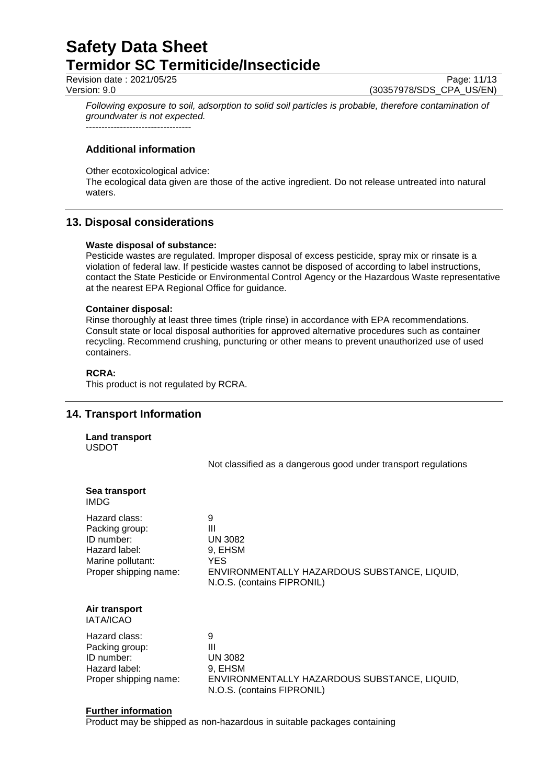Revision date : 2021/05/25 Page: 11/13<br>Version: 9.0 Page: 11/13

(30357978/SDS\_CPA\_US/EN)

*Following exposure to soil, adsorption to solid soil particles is probable, therefore contamination of groundwater is not expected.* ----------------------------------

**Additional information**

Other ecotoxicological advice:

The ecological data given are those of the active ingredient. Do not release untreated into natural waters.

# **13. Disposal considerations**

### **Waste disposal of substance:**

Pesticide wastes are regulated. Improper disposal of excess pesticide, spray mix or rinsate is a violation of federal law. If pesticide wastes cannot be disposed of according to label instructions, contact the State Pesticide or Environmental Control Agency or the Hazardous Waste representative at the nearest EPA Regional Office for guidance.

### **Container disposal:**

Rinse thoroughly at least three times (triple rinse) in accordance with EPA recommendations. Consult state or local disposal authorities for approved alternative procedures such as container recycling. Recommend crushing, puncturing or other means to prevent unauthorized use of used containers.

## **RCRA:**

This product is not regulated by RCRA.

# **14. Transport Information**

**Land transport** USDOT

Not classified as a dangerous good under transport regulations

| Sea transport<br><b>IMDG</b>                                                                                 |                                                                                                                                 |
|--------------------------------------------------------------------------------------------------------------|---------------------------------------------------------------------------------------------------------------------------------|
| Hazard class:<br>Packing group:<br>ID number:<br>Hazard label:<br>Marine pollutant:<br>Proper shipping name: | 9<br>Ш<br><b>UN 3082</b><br>9, EHSM<br><b>YES</b><br>ENVIRONMENTALLY HAZARDOUS SUBSTANCE, LIQUID,<br>N.O.S. (contains FIPRONIL) |
| Air transport<br><b>IATA/ICAO</b>                                                                            |                                                                                                                                 |
| Hazard class:<br>Packing group:<br>ID number:<br>Hazard label:<br>Proper shipping name:                      | 9<br>Ш<br><b>UN 3082</b><br>9, EHSM<br>ENVIRONMENTALLY HAZARDOUS SUBSTANCE, LIQUID,<br>N.O.S. (contains FIPRONIL)               |

#### **Further information**

Product may be shipped as non-hazardous in suitable packages containing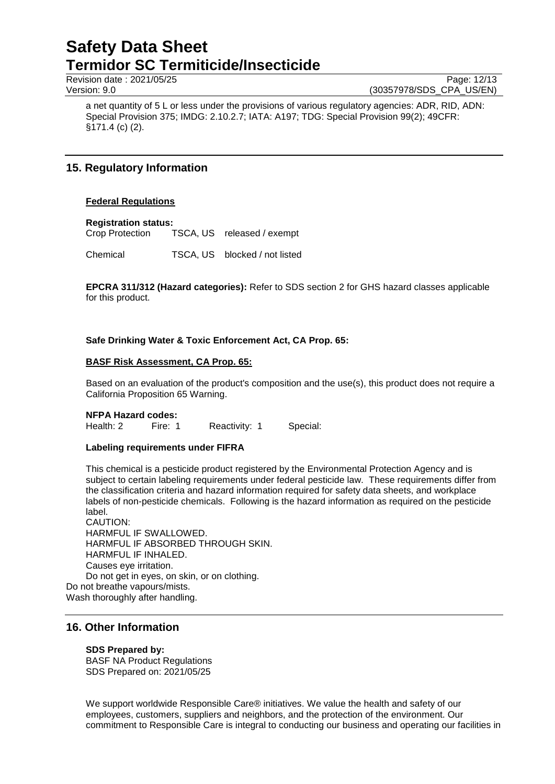Revision date : 2021/05/25 Page: 12/13<br>Version: 9.0 Page: 12/13 Version: 9.0

(30357978/SDS\_CPA\_US/EN)

a net quantity of 5 L or less under the provisions of various regulatory agencies: ADR, RID, ADN: Special Provision 375; IMDG: 2.10.2.7; IATA: A197; TDG: Special Provision 99(2); 49CFR: §171.4 (c) (2).

# **15. Regulatory Information**

### **Federal Regulations**

**Registration status:**

Crop Protection TSCA, US released / exempt

Chemical TSCA, US blocked / not listed

**EPCRA 311/312 (Hazard categories):** Refer to SDS section 2 for GHS hazard classes applicable for this product.

## **Safe Drinking Water & Toxic Enforcement Act, CA Prop. 65:**

### **BASF Risk Assessment, CA Prop. 65:**

Based on an evaluation of the product's composition and the use(s), this product does not require a California Proposition 65 Warning.

#### **NFPA Hazard codes:**

Health: 2 Fire: 1 Reactivity: 1 Special:

#### **Labeling requirements under FIFRA**

This chemical is a pesticide product registered by the Environmental Protection Agency and is subject to certain labeling requirements under federal pesticide law. These requirements differ from the classification criteria and hazard information required for safety data sheets, and workplace labels of non-pesticide chemicals. Following is the hazard information as required on the pesticide label.

CAUTION: HARMFUL IF SWALLOWED. HARMFUL IF ABSORBED THROUGH SKIN. HARMFUL IF INHALED. Causes eye irritation. Do not get in eyes, on skin, or on clothing. Do not breathe vapours/mists.

Wash thoroughly after handling.

## **16. Other Information**

## **SDS Prepared by:**

BASF NA Product Regulations SDS Prepared on: 2021/05/25

We support worldwide Responsible Care® initiatives. We value the health and safety of our employees, customers, suppliers and neighbors, and the protection of the environment. Our commitment to Responsible Care is integral to conducting our business and operating our facilities in